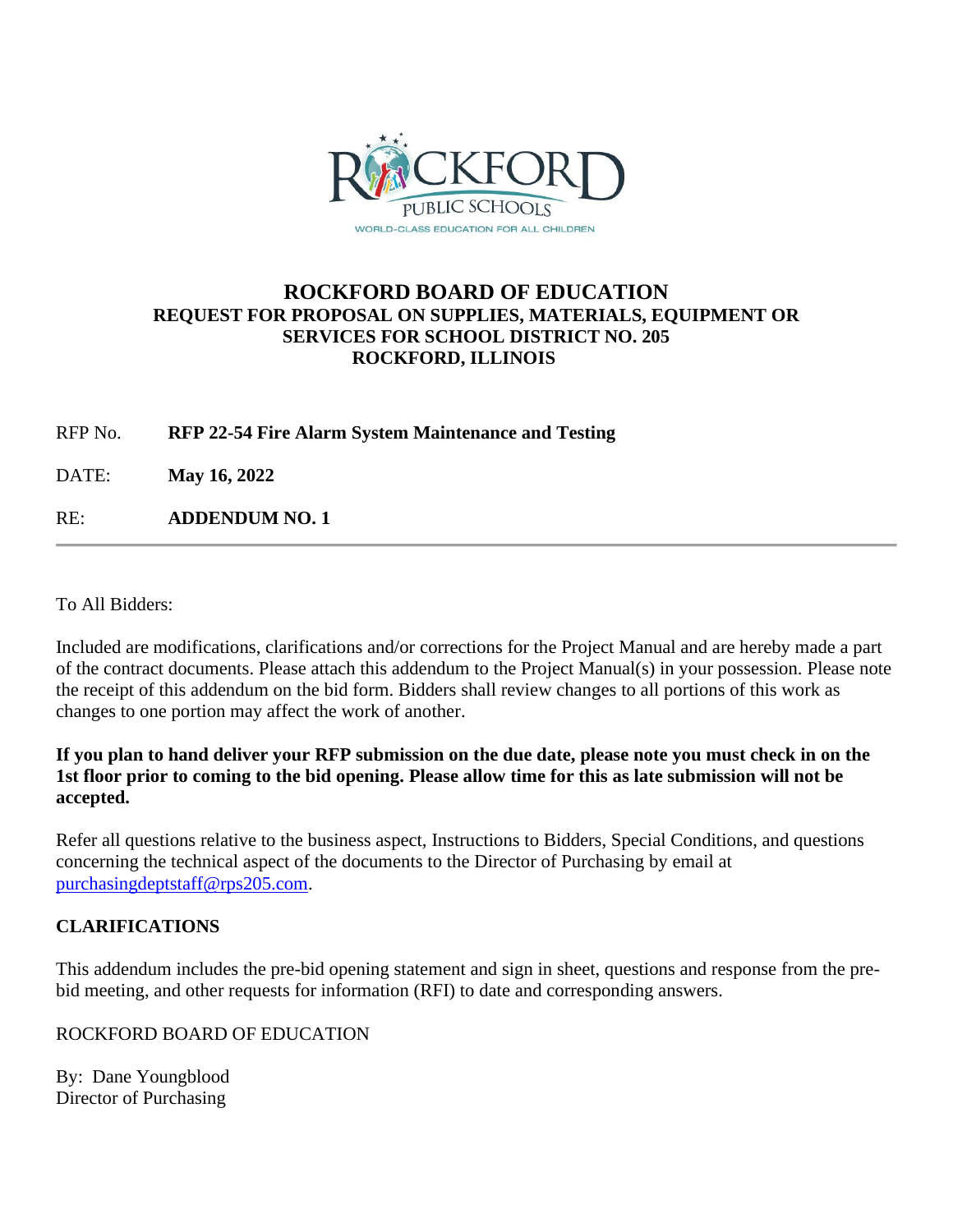

## **ROCKFORD BOARD OF EDUCATION REQUEST FOR PROPOSAL ON SUPPLIES, MATERIALS, EQUIPMENT OR SERVICES FOR SCHOOL DISTRICT NO. 205 ROCKFORD, ILLINOIS**

RFP No. **RFP 22-54 Fire Alarm System Maintenance and Testing**

DATE: **May 16, 2022**

RE: **ADDENDUM NO. 1**

To All Bidders:

Included are modifications, clarifications and/or corrections for the Project Manual and are hereby made a part of the contract documents. Please attach this addendum to the Project Manual(s) in your possession. Please note the receipt of this addendum on the bid form. Bidders shall review changes to all portions of this work as changes to one portion may affect the work of another.

#### **If you plan to hand deliver your RFP submission on the due date, please note you must check in on the 1st floor prior to coming to the bid opening. Please allow time for this as late submission will not be accepted.**

Refer all questions relative to the business aspect, Instructions to Bidders, Special Conditions, and questions concerning the technical aspect of the documents to the Director of Purchasing by email at [purchasingdeptstaff@rps205.com.](mailto:purchasingdeptstaff@rps205.com)

### **CLARIFICATIONS**

This addendum includes the pre-bid opening statement and sign in sheet, questions and response from the prebid meeting, and other requests for information (RFI) to date and corresponding answers.

### ROCKFORD BOARD OF EDUCATION

By: Dane Youngblood Director of Purchasing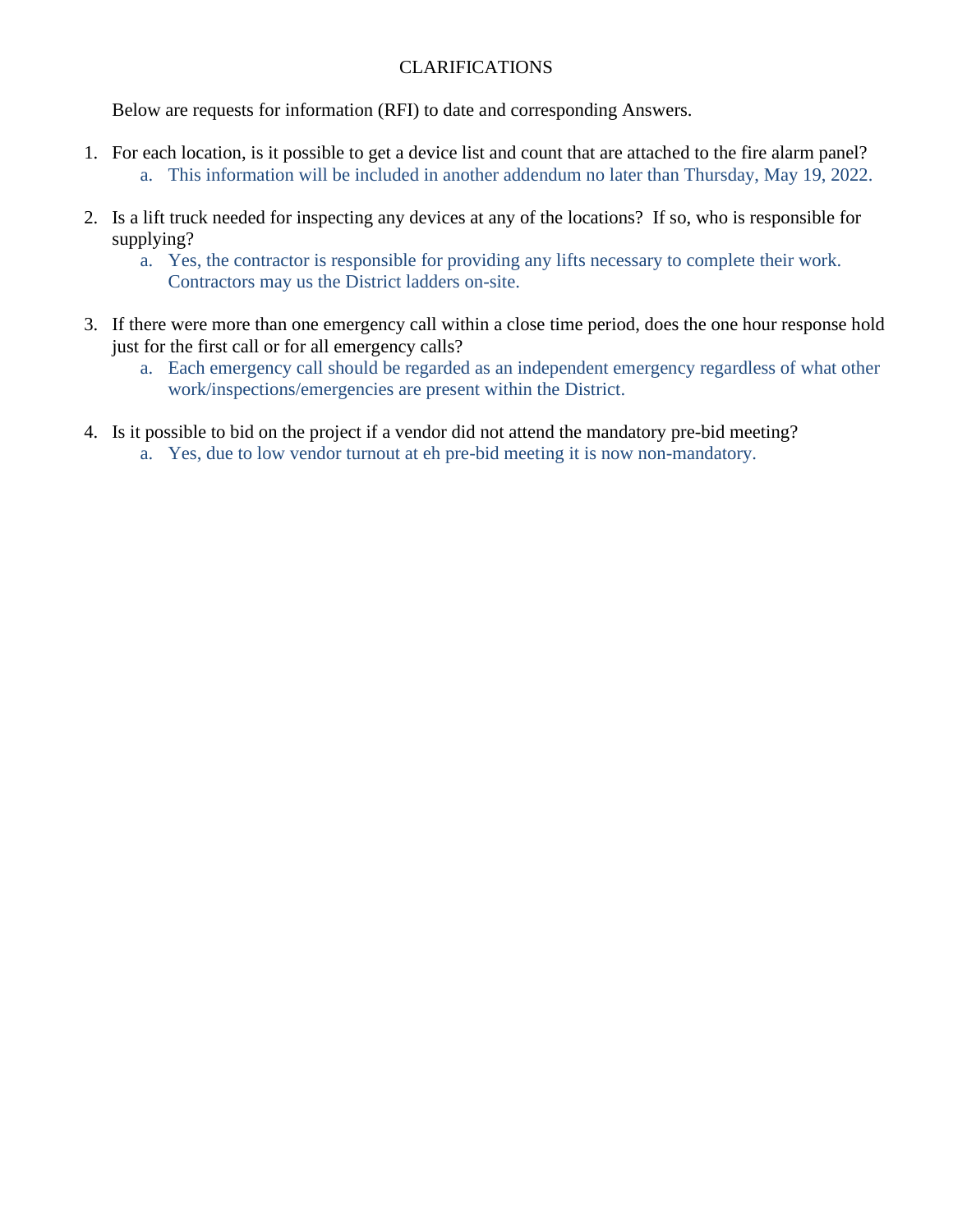### CLARIFICATIONS

Below are requests for information (RFI) to date and corresponding Answers.

- 1. For each location, is it possible to get a device list and count that are attached to the fire alarm panel? a. This information will be included in another addendum no later than Thursday, May 19, 2022.
- 2. Is a lift truck needed for inspecting any devices at any of the locations? If so, who is responsible for supplying?
	- a. Yes, the contractor is responsible for providing any lifts necessary to complete their work. Contractors may us the District ladders on-site.
- 3. If there were more than one emergency call within a close time period, does the one hour response hold just for the first call or for all emergency calls?
	- a. Each emergency call should be regarded as an independent emergency regardless of what other work/inspections/emergencies are present within the District.
- 4. Is it possible to bid on the project if a vendor did not attend the mandatory pre-bid meeting?
	- a. Yes, due to low vendor turnout at eh pre-bid meeting it is now non-mandatory.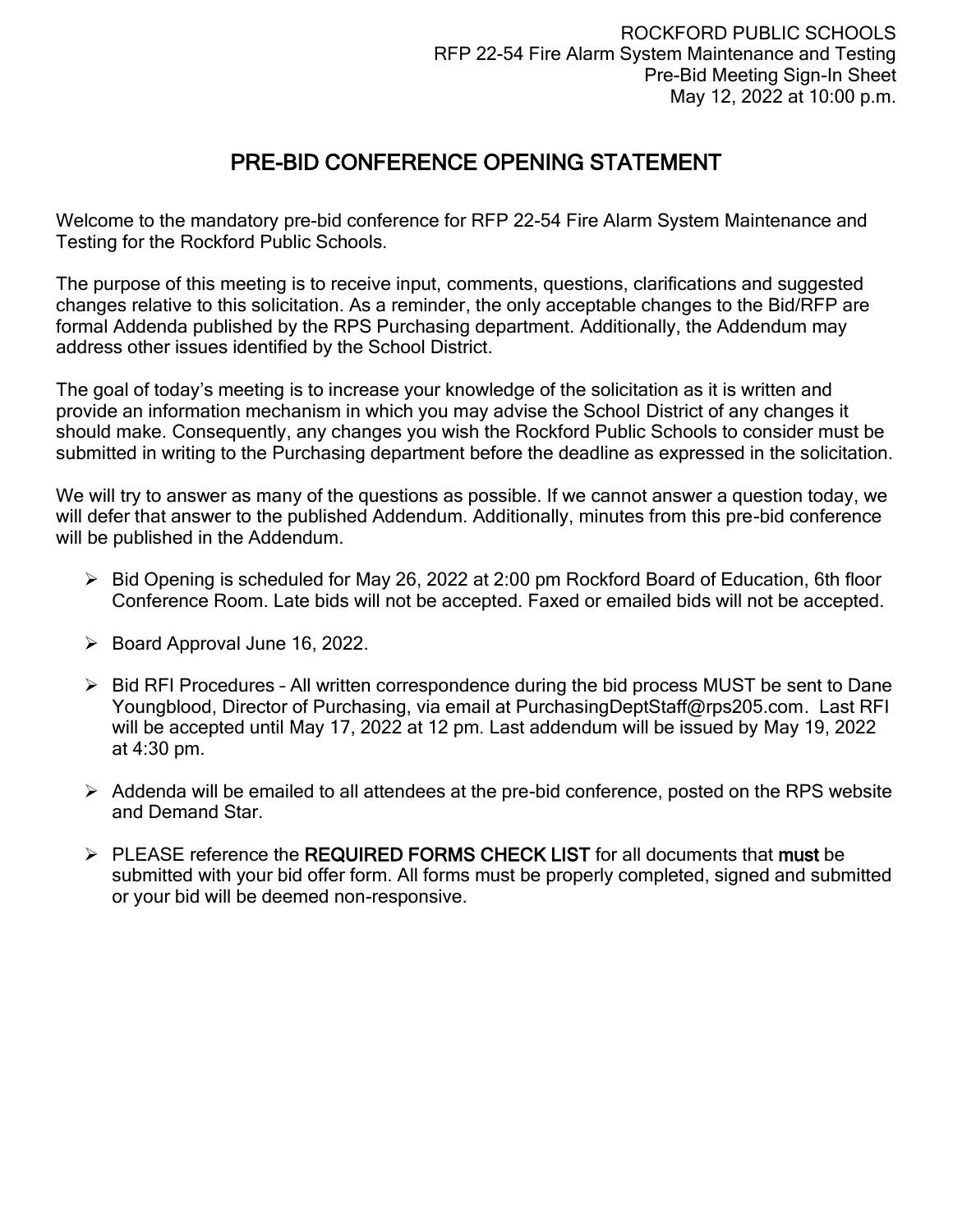# PRE-BID CONFERENCE OPENING STATEMENT

Welcome to the mandatory pre-bid conference for RFP 22-54 Fire Alarm System Maintenance and Testing for the Rockford Public Schools.

The purpose of this meeting is to receive input, comments, questions, clarifications and suggested changes relative to this solicitation. As a reminder, the only acceptable changes to the Bid/RFP are formal Addenda published by the RPS Purchasing department. Additionally, the Addendum may address other issues identified by the School District.

The goal of today's meeting is to increase your knowledge of the solicitation as it is written and provide an information mechanism in which you may advise the School District of any changes it should make. Consequently, any changes you wish the Rockford Public Schools to consider must be submitted in writing to the Purchasing department before the deadline as expressed in the solicitation.

We will try to answer as many of the questions as possible. If we cannot answer a question today, we will defer that answer to the published Addendum. Additionally, minutes from this pre-bid conference will be published in the Addendum.

- ➢ Bid Opening is scheduled for May 26, 2022 at 2:00 pm Rockford Board of Education, 6th floor Conference Room. Late bids will not be accepted. Faxed or emailed bids will not be accepted.
- ➢ Board Approval June 16, 2022.
- ➢ Bid RFI Procedures All written correspondence during the bid process MUST be sent to Dane Youngblood, Director of Purchasing, via email at PurchasingDeptStaff@rps205.com. Last RFI will be accepted until May 17, 2022 at 12 pm. Last addendum will be issued by May 19, 2022 at 4:30 pm.
- $\triangleright$  Addenda will be emailed to all attendees at the pre-bid conference, posted on the RPS website and Demand Star.
- ➢ PLEASE reference the REQUIRED FORMS CHECK LIST for all documents that must be submitted with your bid offer form. All forms must be properly completed, signed and submitted or your bid will be deemed non-responsive.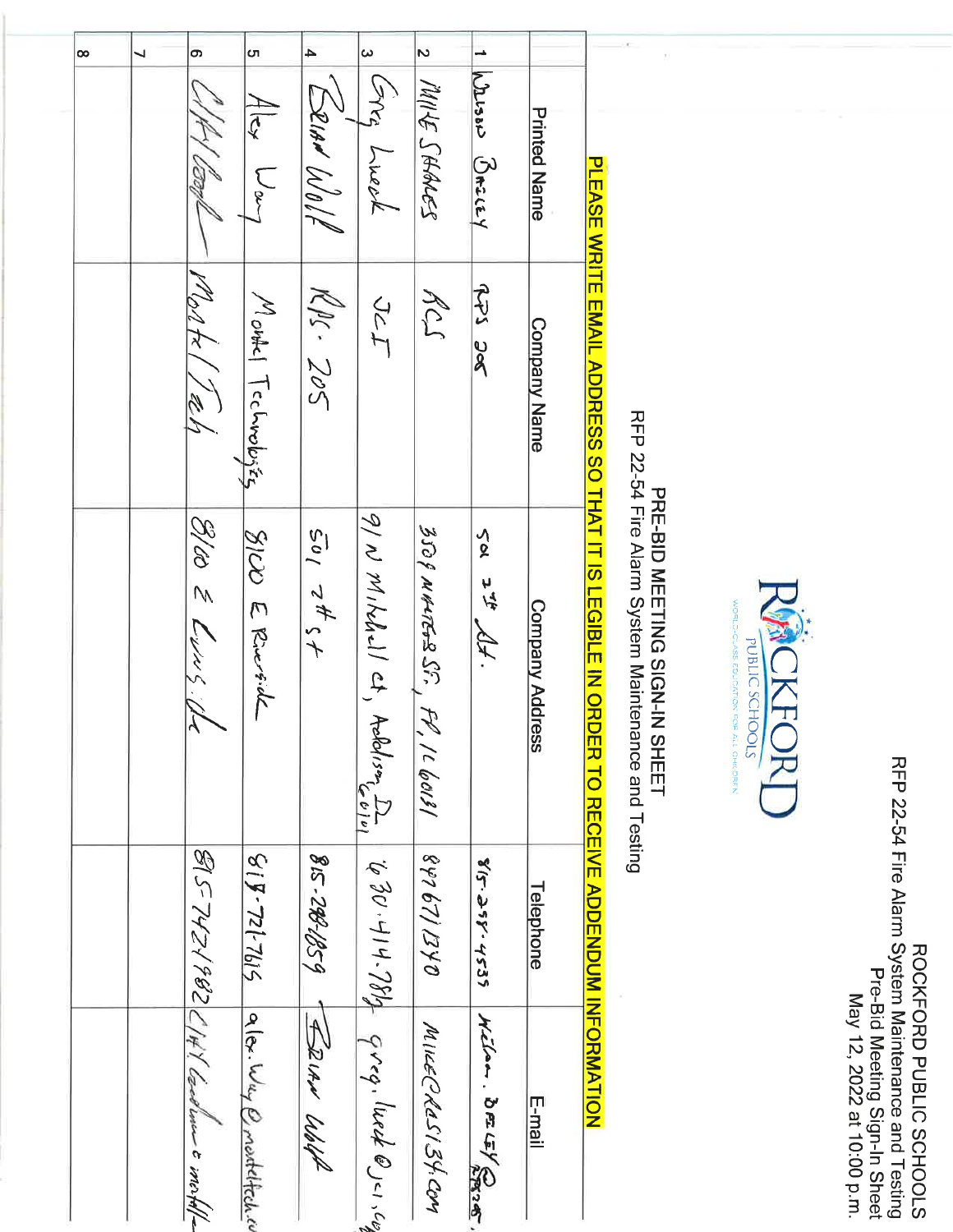| $\infty$ | ┙ | $\sigma$                                                    | cп<br>$4 _{\text{c}}$<br>$L_{\infty}$ | $\blacktriangle$<br>Erian Wolf | $\boldsymbol{\omega}$<br>crry Lueek   | $\mathbf{v}$<br>MILE SHALES       | ∸<br>Wesser Bracey | <b>Printed Name</b> |                                                                                                                                                                                          |                                                                          |                                                                                                                                               |
|----------|---|-------------------------------------------------------------|---------------------------------------|--------------------------------|---------------------------------------|-----------------------------------|--------------------|---------------------|------------------------------------------------------------------------------------------------------------------------------------------------------------------------------------------|--------------------------------------------------------------------------|-----------------------------------------------------------------------------------------------------------------------------------------------|
|          |   | Montal Teer                                                 | Moutel Technologies                   | $M_{\mu}$ $Z_{\nu}$            | JcI                                   | RCS                               | se sch             | <b>Company Name</b> |                                                                                                                                                                                          |                                                                          | RFP 22-54 Fire Alarm System Maintenance and Testing<br>ROCKPORD PUBLIC SCHOOLS<br>Pre-Bid Meeting Sign-In Sheet<br>May 12, 2022 at 10:00 p.m. |
|          |   | S/to & Lung.                                                | SIU E Riverside                       | 201745                         | 9/N Mikhell ct,<br>Aeldison D         | 350 P NALTERS SF.<br>FP, IL GOISI | Sol<br>272.46      | Company Address     | PLEASE WRITE EMAIL ADDRESS SO THAT IT IS LEGIBLE IN ORDEN TO RECEIVE ADDENDUM INFORMATION<br>RFP 22-54 Fire Alarm System Maintenance and Testing<br><b>PRE-BID MEETING SIGN-IN SHEET</b> | <b>NOKEC</b><br><b>STOOHOS DITERIOL</b><br>DN FOR ALL<br><b>CHILDREN</b> |                                                                                                                                               |
|          |   |                                                             | $512 - 72 - 818$                      | 815-288-1259                   |                                       | 0KZ/129288                        | 815.358.4535       | Telephone           |                                                                                                                                                                                          |                                                                          |                                                                                                                                               |
|          |   | $\mathcal{G}$ [S-747/982] / 4/ Secolum c incr $\mathcal{A}$ | allor Way Q montellech.co             | FRIAN WALL                     | $\psi$ 30.14.784 gros, luct @ 10.1.62 | MIKECROSIST.COM                   | Wilam. BELEY@O     | E-mail              |                                                                                                                                                                                          |                                                                          |                                                                                                                                               |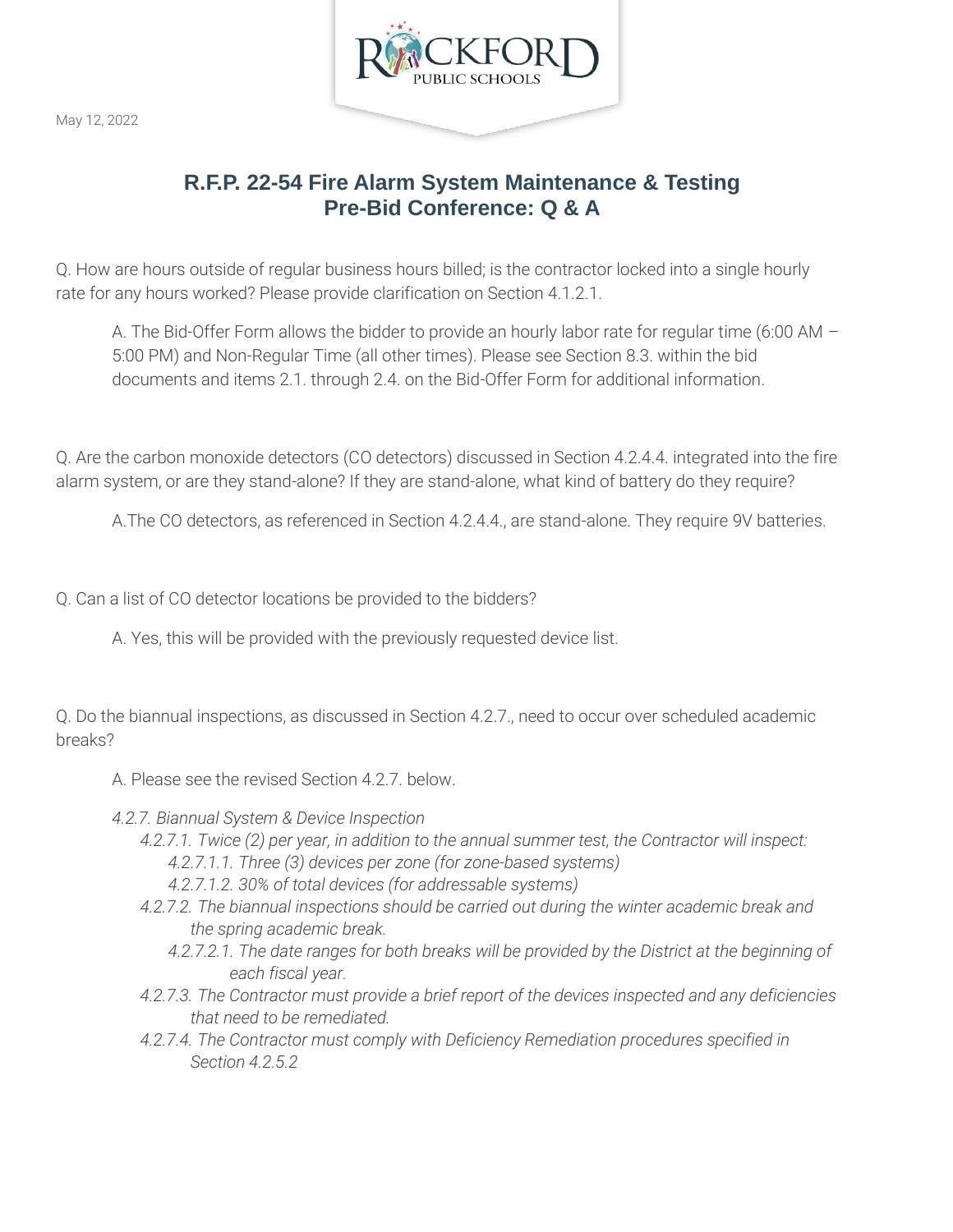

May 12, 2022

# **R.F.P. 22-54 Fire Alarm System Maintenance & Testing Pre-Bid Conference: Q & A**

Q. How are hours outside of regular business hours billed; is the contractor locked into a single hourly rate for any hours worked? Please provide clarification on Section 4.1.2.1.

A. The Bid-Offer Form allows the bidder to provide an hourly labor rate for regular time (6:00 AM – 5:00 PM) and Non-Regular Time (all other times). Please see Section 8.3. within the bid documents and items 2.1. through 2.4. on the Bid-Offer Form for additional information.

Q. Are the carbon monoxide detectors (CO detectors) discussed in Section 4.2.4.4. integrated into the fire alarm system, or are they stand-alone? If they are stand-alone, what kind of battery do they require?

A.The CO detectors, as referenced in Section 4.2.4.4., are stand-alone. They require 9V batteries.

Q. Can a list of CO detector locations be provided to the bidders?

A. Yes, this will be provided with the previously requested device list.

Q. Do the biannual inspections, as discussed in Section 4.2.7., need to occur over scheduled academic breaks?

- A. Please see the revised Section 4.2.7. below.
- *4.2.7. Biannual System & Device Inspection*
	- *4.2.7.1. Twice (2) per year, in addition to the annual summer test, the Contractor will inspect: 4.2.7.1.1. Three (3) devices per zone (for zone-based systems)*
		- *4.2.7.1.2. 30% of total devices (for addressable systems)*
	- *4.2.7.2. The biannual inspections should be carried out during the winter academic break and the spring academic break.*
		- *4.2.7.2.1. The date ranges for both breaks will be provided by the District at the beginning of each fiscal year.*
	- *4.2.7.3. The Contractor must provide a brief report of the devices inspected and any deficiencies that need to be remediated.*
	- *4.2.7.4. The Contractor must comply with Deficiency Remediation procedures specified in Section 4.2.5.2*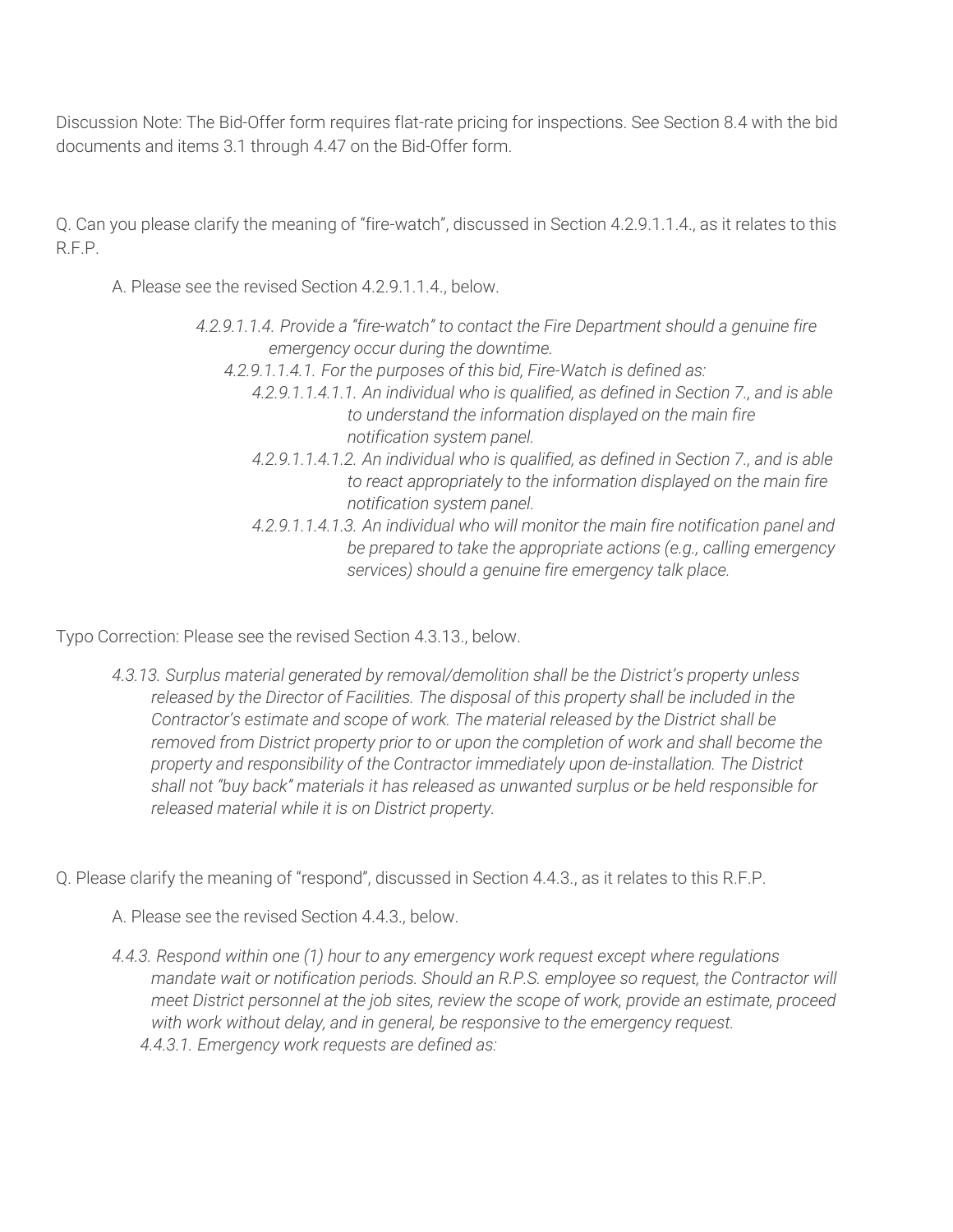Discussion Note: The Bid-Offer form requires flat-rate pricing for inspections. See Section 8.4 with the bid documents and items 3.1 through 4.47 on the Bid-Offer form.

Q. Can you please clarify the meaning of "fire-watch", discussed in Section 4.2.9.1.1.4., as it relates to this R.F.P.

A. Please see the revised Section 4.2.9.1.1.4., below.

- *4.2.9.1.1.4. Provide a "fire-watch" to contact the Fire Department should a genuine fire emergency occur during the downtime.*
	- *4.2.9.1.1.4.1. For the purposes of this bid, Fire-Watch is defined as:*
		- *4.2.9.1.1.4.1.1. An individual who is qualified, as defined in Section 7., and is able to understand the information displayed on the main fire notification system panel.*
		- *4.2.9.1.1.4.1.2. An individual who is qualified, as defined in Section 7., and is able to react appropriately to the information displayed on the main fire notification system panel.*
		- *4.2.9.1.1.4.1.3. An individual who will monitor the main fire notification panel and be prepared to take the appropriate actions (e.g., calling emergency services) should a genuine fire emergency talk place.*

Typo Correction: Please see the revised Section 4.3.13., below.

*4.3.13. Surplus material generated by removal/demolition shall be the District's property unless released by the Director of Facilities. The disposal of this property shall be included in the Contractor's estimate and scope of work. The material released by the District shall be removed from District property prior to or upon the completion of work and shall become the property and responsibility of the Contractor immediately upon de-installation. The District shall not "buy back" materials it has released as unwanted surplus or be held responsible for released material while it is on District property.*

Q. Please clarify the meaning of "respond", discussed in Section 4.4.3., as it relates to this R.F.P.

A. Please see the revised Section 4.4.3., below.

*4.4.3. Respond within one (1) hour to any emergency work request except where regulations mandate wait or notification periods. Should an R.P.S. employee so request, the Contractor will meet District personnel at the job sites, review the scope of work, provide an estimate, proceed with work without delay, and in general, be responsive to the emergency request. 4.4.3.1. Emergency work requests are defined as:*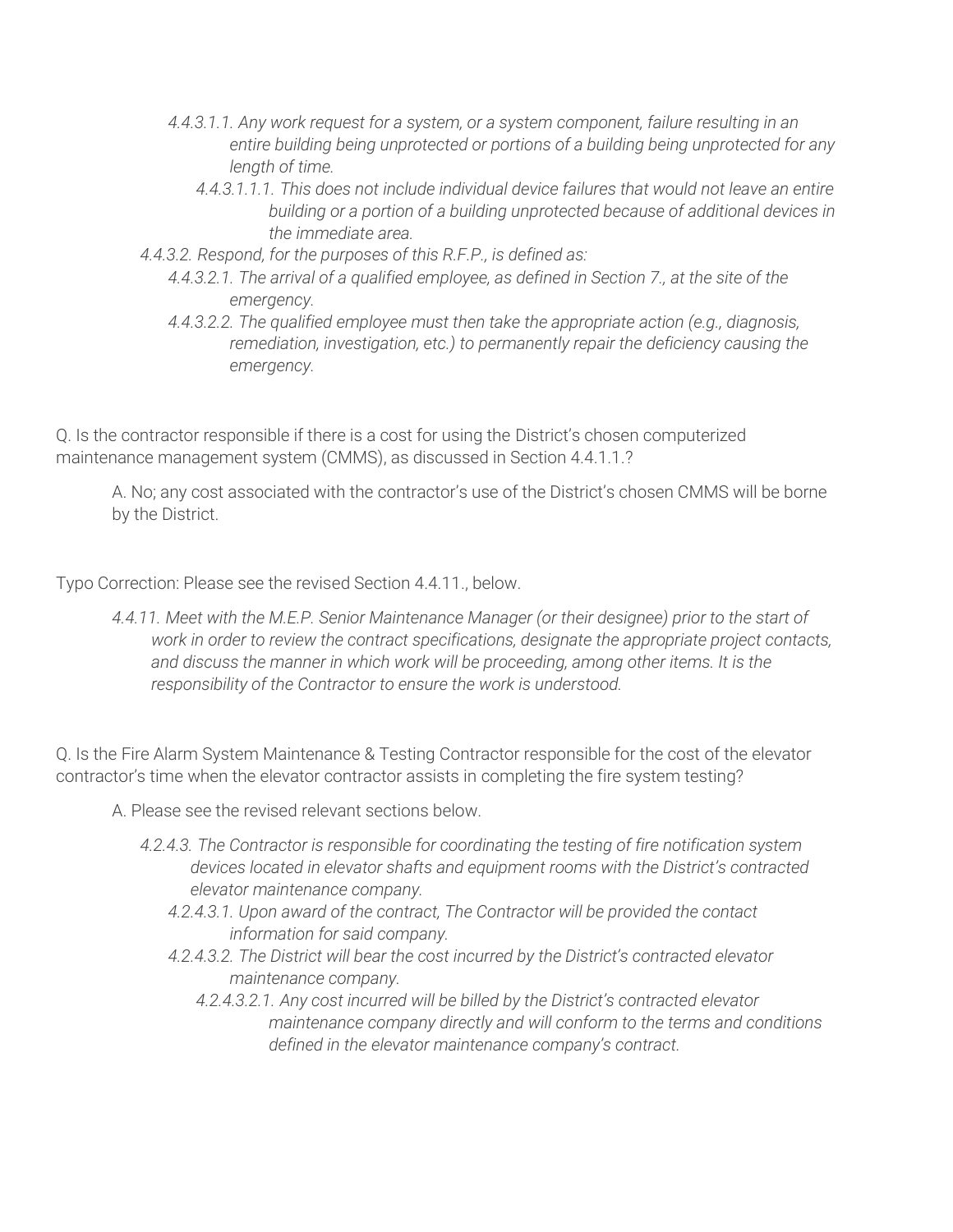- *4.4.3.1.1. Any work request for a system, or a system component, failure resulting in an entire building being unprotected or portions of a building being unprotected for any length of time.* 
	- *4.4.3.1.1.1. This does not include individual device failures that would not leave an entire building or a portion of a building unprotected because of additional devices in the immediate area.*
- *4.4.3.2. Respond, for the purposes of this R.F.P., is defined as:*
	- *4.4.3.2.1. The arrival of a qualified employee, as defined in Section 7., at the site of the emergency.*
	- *4.4.3.2.2. The qualified employee must then take the appropriate action (e.g., diagnosis, remediation, investigation, etc.) to permanently repair the deficiency causing the emergency.*

Q. Is the contractor responsible if there is a cost for using the District's chosen computerized maintenance management system (CMMS), as discussed in Section 4.4.1.1.?

A. No; any cost associated with the contractor's use of the District's chosen CMMS will be borne by the District.

Typo Correction: Please see the revised Section 4.4.11., below.

*4.4.11. Meet with the M.E.P. Senior Maintenance Manager (or their designee) prior to the start of work in order to review the contract specifications, designate the appropriate project contacts, and discuss the manner in which work will be proceeding, among other items. It is the responsibility of the Contractor to ensure the work is understood.*

Q. Is the Fire Alarm System Maintenance & Testing Contractor responsible for the cost of the elevator contractor's time when the elevator contractor assists in completing the fire system testing?

- A. Please see the revised relevant sections below.
	- *4.2.4.3. The Contractor is responsible for coordinating the testing of fire notification system devices located in elevator shafts and equipment rooms with the District's contracted elevator maintenance company.* 
		- *4.2.4.3.1. Upon award of the contract, The Contractor will be provided the contact information for said company.*
		- *4.2.4.3.2. The District will bear the cost incurred by the District's contracted elevator maintenance company.*
			- *4.2.4.3.2.1. Any cost incurred will be billed by the District's contracted elevator maintenance company directly and will conform to the terms and conditions defined in the elevator maintenance company's contract.*